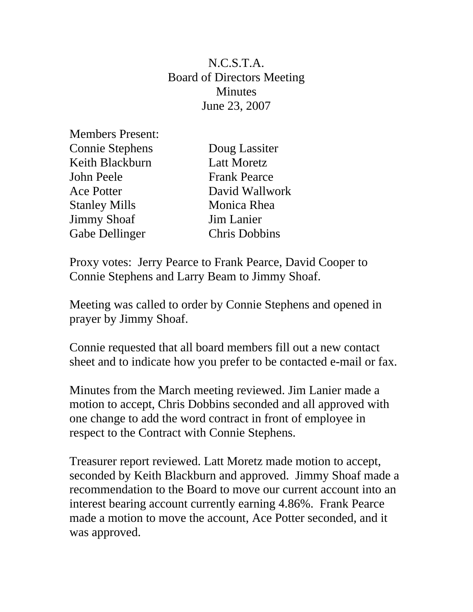N.C.S.T.A. Board of Directors Meeting Minutes June 23, 2007

| <b>Members Present:</b> |
|-------------------------|
| <b>Connie Stephens</b>  |
| Keith Blackburn         |
| John Peele              |
| <b>Ace Potter</b>       |
| <b>Stanley Mills</b>    |
| <b>Jimmy Shoaf</b>      |
| <b>Gabe Dellinger</b>   |

Doug Lassiter Latt Moretz Frank Pearce David Wallwork Monica Rhea Jim Lanier Chris Dobbins

Proxy votes: Jerry Pearce to Frank Pearce, David Cooper to Connie Stephens and Larry Beam to Jimmy Shoaf.

Meeting was called to order by Connie Stephens and opened in prayer by Jimmy Shoaf.

Connie requested that all board members fill out a new contact sheet and to indicate how you prefer to be contacted e-mail or fax.

Minutes from the March meeting reviewed. Jim Lanier made a motion to accept, Chris Dobbins seconded and all approved with one change to add the word contract in front of employee in respect to the Contract with Connie Stephens.

Treasurer report reviewed. Latt Moretz made motion to accept, seconded by Keith Blackburn and approved. Jimmy Shoaf made a recommendation to the Board to move our current account into an interest bearing account currently earning 4.86%. Frank Pearce made a motion to move the account, Ace Potter seconded, and it was approved.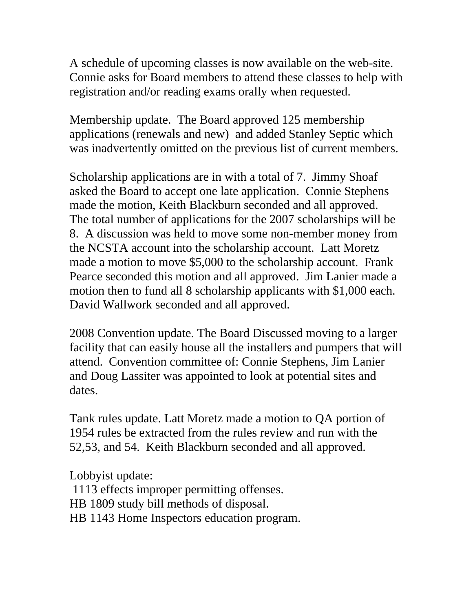A schedule of upcoming classes is now available on the web-site. Connie asks for Board members to attend these classes to help with registration and/or reading exams orally when requested.

Membership update. The Board approved 125 membership applications (renewals and new) and added Stanley Septic which was inadvertently omitted on the previous list of current members.

Scholarship applications are in with a total of 7. Jimmy Shoaf asked the Board to accept one late application. Connie Stephens made the motion, Keith Blackburn seconded and all approved. The total number of applications for the 2007 scholarships will be 8. A discussion was held to move some non-member money from the NCSTA account into the scholarship account. Latt Moretz made a motion to move \$5,000 to the scholarship account. Frank Pearce seconded this motion and all approved. Jim Lanier made a motion then to fund all 8 scholarship applicants with \$1,000 each. David Wallwork seconded and all approved.

2008 Convention update. The Board Discussed moving to a larger facility that can easily house all the installers and pumpers that will attend. Convention committee of: Connie Stephens, Jim Lanier and Doug Lassiter was appointed to look at potential sites and dates.

Tank rules update. Latt Moretz made a motion to QA portion of 1954 rules be extracted from the rules review and run with the 52,53, and 54. Keith Blackburn seconded and all approved.

Lobbyist update:

 1113 effects improper permitting offenses. HB 1809 study bill methods of disposal. HB 1143 Home Inspectors education program.